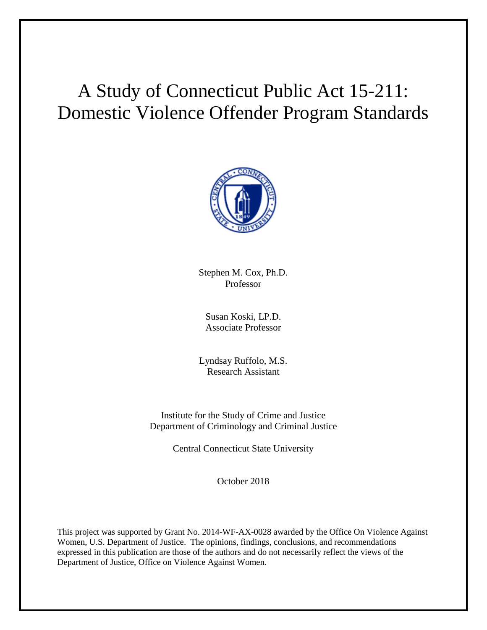# A Study of Connecticut Public Act 15-211: Domestic Violence Offender Program Standards



Stephen M. Cox, Ph.D. Professor

Susan Koski, LP.D. Associate Professor

Lyndsay Ruffolo, M.S. Research Assistant

Institute for the Study of Crime and Justice Department of Criminology and Criminal Justice

Central Connecticut State University

October 2018

This project was supported by Grant No. 2014-WF-AX-0028 awarded by the Office On Violence Against Women, U.S. Department of Justice. The opinions, findings, conclusions, and recommendations expressed in this publication are those of the authors and do not necessarily reflect the views of the Department of Justice, Office on Violence Against Women.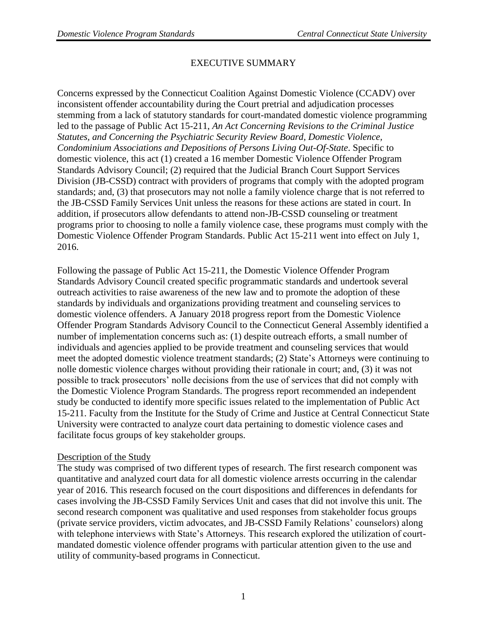## EXECUTIVE SUMMARY

Concerns expressed by the Connecticut Coalition Against Domestic Violence (CCADV) over inconsistent offender accountability during the Court pretrial and adjudication processes stemming from a lack of statutory standards for court-mandated domestic violence programming led to the passage of Public Act 15-211, *An Act Concerning Revisions to the Criminal Justice Statutes, and Concerning the Psychiatric Security Review Board, Domestic Violence, Condominium Associations and Depositions of Persons Living Out-Of-State*. Specific to domestic violence, this act (1) created a 16 member Domestic Violence Offender Program Standards Advisory Council; (2) required that the Judicial Branch Court Support Services Division (JB-CSSD) contract with providers of programs that comply with the adopted program standards; and, (3) that prosecutors may not nolle a family violence charge that is not referred to the JB-CSSD Family Services Unit unless the reasons for these actions are stated in court. In addition, if prosecutors allow defendants to attend non-JB-CSSD counseling or treatment programs prior to choosing to nolle a family violence case, these programs must comply with the Domestic Violence Offender Program Standards. Public Act 15-211 went into effect on July 1, 2016.

Following the passage of Public Act 15-211, the Domestic Violence Offender Program Standards Advisory Council created specific programmatic standards and undertook several outreach activities to raise awareness of the new law and to promote the adoption of these standards by individuals and organizations providing treatment and counseling services to domestic violence offenders. A January 2018 progress report from the Domestic Violence Offender Program Standards Advisory Council to the Connecticut General Assembly identified a number of implementation concerns such as: (1) despite outreach efforts, a small number of individuals and agencies applied to be provide treatment and counseling services that would meet the adopted domestic violence treatment standards; (2) State's Attorneys were continuing to nolle domestic violence charges without providing their rationale in court; and, (3) it was not possible to track prosecutors' nolle decisions from the use of services that did not comply with the Domestic Violence Program Standards. The progress report recommended an independent study be conducted to identify more specific issues related to the implementation of Public Act 15-211. Faculty from the Institute for the Study of Crime and Justice at Central Connecticut State University were contracted to analyze court data pertaining to domestic violence cases and facilitate focus groups of key stakeholder groups.

## Description of the Study

The study was comprised of two different types of research. The first research component was quantitative and analyzed court data for all domestic violence arrests occurring in the calendar year of 2016. This research focused on the court dispositions and differences in defendants for cases involving the JB-CSSD Family Services Unit and cases that did not involve this unit. The second research component was qualitative and used responses from stakeholder focus groups (private service providers, victim advocates, and JB-CSSD Family Relations' counselors) along with telephone interviews with State's Attorneys. This research explored the utilization of courtmandated domestic violence offender programs with particular attention given to the use and utility of community-based programs in Connecticut.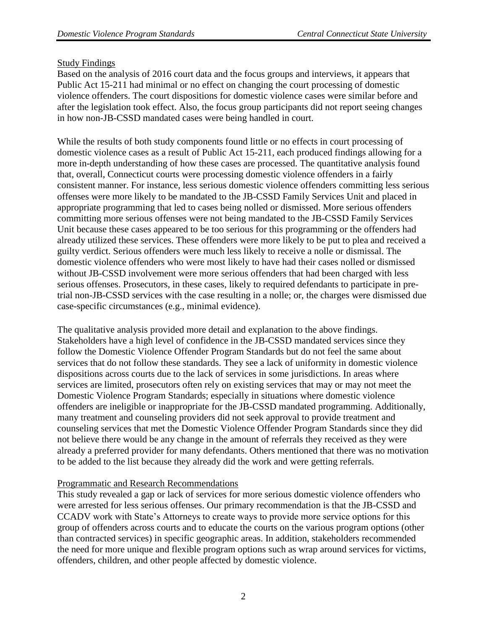## Study Findings

Based on the analysis of 2016 court data and the focus groups and interviews, it appears that Public Act 15-211 had minimal or no effect on changing the court processing of domestic violence offenders. The court dispositions for domestic violence cases were similar before and after the legislation took effect. Also, the focus group participants did not report seeing changes in how non-JB-CSSD mandated cases were being handled in court.

While the results of both study components found little or no effects in court processing of domestic violence cases as a result of Public Act 15-211, each produced findings allowing for a more in-depth understanding of how these cases are processed. The quantitative analysis found that, overall, Connecticut courts were processing domestic violence offenders in a fairly consistent manner. For instance, less serious domestic violence offenders committing less serious offenses were more likely to be mandated to the JB-CSSD Family Services Unit and placed in appropriate programming that led to cases being nolled or dismissed. More serious offenders committing more serious offenses were not being mandated to the JB-CSSD Family Services Unit because these cases appeared to be too serious for this programming or the offenders had already utilized these services. These offenders were more likely to be put to plea and received a guilty verdict. Serious offenders were much less likely to receive a nolle or dismissal. The domestic violence offenders who were most likely to have had their cases nolled or dismissed without JB-CSSD involvement were more serious offenders that had been charged with less serious offenses. Prosecutors, in these cases, likely to required defendants to participate in pretrial non-JB-CSSD services with the case resulting in a nolle; or, the charges were dismissed due case-specific circumstances (e.g., minimal evidence).

The qualitative analysis provided more detail and explanation to the above findings. Stakeholders have a high level of confidence in the JB-CSSD mandated services since they follow the Domestic Violence Offender Program Standards but do not feel the same about services that do not follow these standards. They see a lack of uniformity in domestic violence dispositions across courts due to the lack of services in some jurisdictions. In areas where services are limited, prosecutors often rely on existing services that may or may not meet the Domestic Violence Program Standards; especially in situations where domestic violence offenders are ineligible or inappropriate for the JB-CSSD mandated programming. Additionally, many treatment and counseling providers did not seek approval to provide treatment and counseling services that met the Domestic Violence Offender Program Standards since they did not believe there would be any change in the amount of referrals they received as they were already a preferred provider for many defendants. Others mentioned that there was no motivation to be added to the list because they already did the work and were getting referrals.

## Programmatic and Research Recommendations

This study revealed a gap or lack of services for more serious domestic violence offenders who were arrested for less serious offenses. Our primary recommendation is that the JB-CSSD and CCADV work with State's Attorneys to create ways to provide more service options for this group of offenders across courts and to educate the courts on the various program options (other than contracted services) in specific geographic areas. In addition, stakeholders recommended the need for more unique and flexible program options such as wrap around services for victims, offenders, children, and other people affected by domestic violence.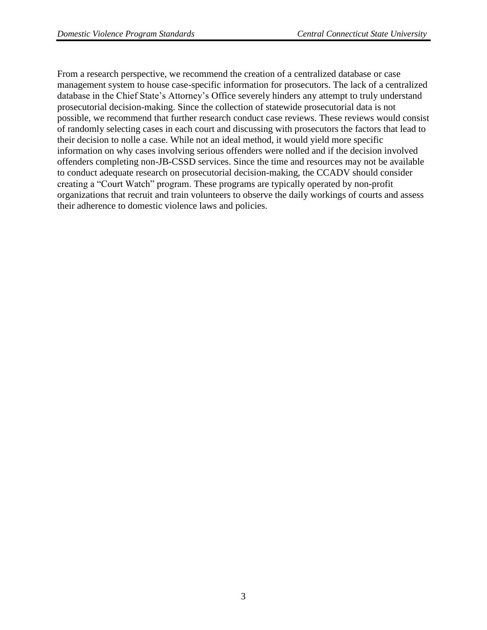From a research perspective, we recommend the creation of a centralized database or case management system to house case-specific information for prosecutors. The lack of a centralized database in the Chief State's Attorney's Office severely hinders any attempt to truly understand prosecutorial decision-making. Since the collection of statewide prosecutorial data is not possible, we recommend that further research conduct case reviews. These reviews would consist of randomly selecting cases in each court and discussing with prosecutors the factors that lead to their decision to nolle a case. While not an ideal method, it would yield more specific information on why cases involving serious offenders were nolled and if the decision involved offenders completing non-JB-CSSD services. Since the time and resources may not be available to conduct adequate research on prosecutorial decision-making, the CCADV should consider creating a "Court Watch" program. These programs are typically operated by non-profit organizations that recruit and train volunteers to observe the daily workings of courts and assess their adherence to domestic violence laws and policies.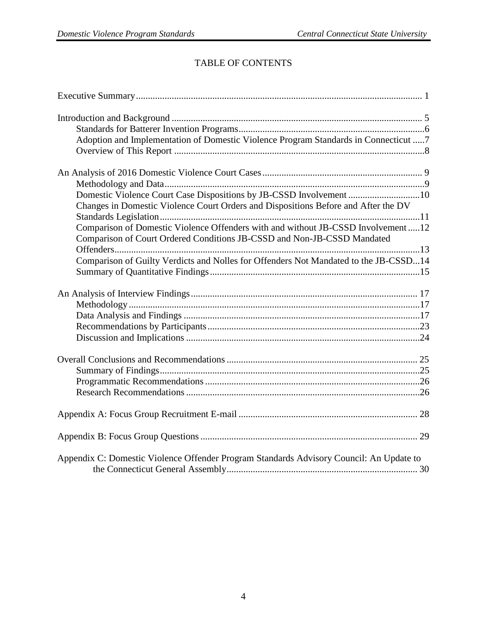## TABLE OF CONTENTS

| Adoption and Implementation of Domestic Violence Program Standards in Connecticut 7     |  |
|-----------------------------------------------------------------------------------------|--|
|                                                                                         |  |
|                                                                                         |  |
|                                                                                         |  |
| Domestic Violence Court Case Dispositions by JB-CSSD Involvement 10                     |  |
| Changes in Domestic Violence Court Orders and Dispositions Before and After the DV      |  |
|                                                                                         |  |
| Comparison of Domestic Violence Offenders with and without JB-CSSD Involvement12        |  |
| Comparison of Court Ordered Conditions JB-CSSD and Non-JB-CSSD Mandated                 |  |
|                                                                                         |  |
| Comparison of Guilty Verdicts and Nolles for Offenders Not Mandated to the JB-CSSD14    |  |
|                                                                                         |  |
|                                                                                         |  |
|                                                                                         |  |
|                                                                                         |  |
|                                                                                         |  |
|                                                                                         |  |
|                                                                                         |  |
|                                                                                         |  |
|                                                                                         |  |
|                                                                                         |  |
|                                                                                         |  |
|                                                                                         |  |
| Appendix C: Domestic Violence Offender Program Standards Advisory Council: An Update to |  |
|                                                                                         |  |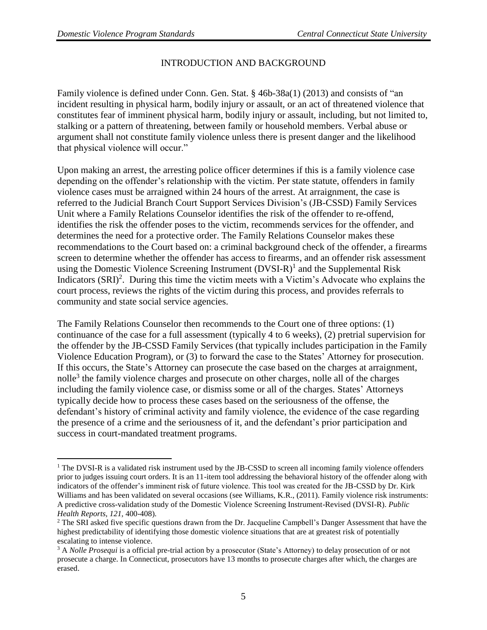$\overline{a}$ 

## INTRODUCTION AND BACKGROUND

Family violence is defined under Conn. Gen. Stat. § 46b-38a(1) (2013) and consists of "an incident resulting in physical harm, bodily injury or assault, or an act of threatened violence that constitutes fear of imminent physical harm, bodily injury or assault, including, but not limited to, stalking or a pattern of threatening, between family or household members. Verbal abuse or argument shall not constitute family violence unless there is present danger and the likelihood that physical violence will occur."

Upon making an arrest, the arresting police officer determines if this is a family violence case depending on the offender's relationship with the victim. Per state statute, offenders in family violence cases must be arraigned within 24 hours of the arrest. At arraignment, the case is referred to the Judicial Branch Court Support Services Division's (JB-CSSD) Family Services Unit where a Family Relations Counselor identifies the risk of the offender to re-offend, identifies the risk the offender poses to the victim, recommends services for the offender, and determines the need for a protective order. The Family Relations Counselor makes these recommendations to the Court based on: a criminal background check of the offender, a firearms screen to determine whether the offender has access to firearms, and an offender risk assessment using the Domestic Violence Screening Instrument  $(DVSI-R)^{1}$  and the Supplemental Risk Indicators  $(SRI)^2$ . During this time the victim meets with a Victim's Advocate who explains the court process, reviews the rights of the victim during this process, and provides referrals to community and state social service agencies.

The Family Relations Counselor then recommends to the Court one of three options: (1) continuance of the case for a full assessment (typically 4 to 6 weeks), (2) pretrial supervision for the offender by the JB-CSSD Family Services (that typically includes participation in the Family Violence Education Program), or (3) to forward the case to the States' Attorney for prosecution. If this occurs, the State's Attorney can prosecute the case based on the charges at arraignment, nolle<sup>3</sup> the family violence charges and prosecute on other charges, nolle all of the charges including the family violence case, or dismiss some or all of the charges. States' Attorneys typically decide how to process these cases based on the seriousness of the offense, the defendant's history of criminal activity and family violence, the evidence of the case regarding the presence of a crime and the seriousness of it, and the defendant's prior participation and success in court-mandated treatment programs.

 $1$  The DVSI-R is a validated risk instrument used by the JB-CSSD to screen all incoming family violence offenders prior to judges issuing court orders. It is an 11-item tool addressing the behavioral history of the offender along with indicators of the offender's imminent risk of future violence. This tool was created for the JB-CSSD by Dr. Kirk Williams and has been validated on several occasions (see Williams, K.R., (2011). Family violence risk instruments: A predictive cross-validation study of the Domestic Violence Screening Instrument-Revised (DVSI-R). *Public Health Reports, 121,* 400-408).

<sup>&</sup>lt;sup>2</sup> The SRI asked five specific questions drawn from the Dr. Jacqueline Campbell's Danger Assessment that have the highest predictability of identifying those domestic violence situations that are at greatest risk of potentially escalating to intense violence.

<sup>3</sup> A *Nolle Prosequi* is a official pre-trial action by a prosecutor (State's Attorney) to delay prosecution of or not prosecute a charge. In Connecticut, prosecutors have 13 months to prosecute charges after which, the charges are erased.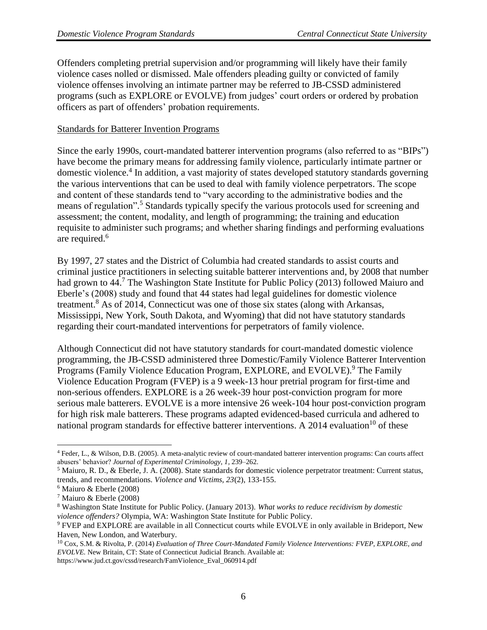Offenders completing pretrial supervision and/or programming will likely have their family violence cases nolled or dismissed. Male offenders pleading guilty or convicted of family violence offenses involving an intimate partner may be referred to JB-CSSD administered programs (such as EXPLORE or EVOLVE) from judges' court orders or ordered by probation officers as part of offenders' probation requirements.

## Standards for Batterer Invention Programs

Since the early 1990s, court-mandated batterer intervention programs (also referred to as "BIPs") have become the primary means for addressing family violence, particularly intimate partner or domestic violence. 4 In addition, a vast majority of states developed statutory standards governing the various interventions that can be used to deal with family violence perpetrators. The scope and content of these standards tend to "vary according to the administrative bodies and the means of regulation". <sup>5</sup> Standards typically specify the various protocols used for screening and assessment; the content, modality, and length of programming; the training and education requisite to administer such programs; and whether sharing findings and performing evaluations are required. 6

By 1997, 27 states and the District of Columbia had created standards to assist courts and criminal justice practitioners in selecting suitable batterer interventions and, by 2008 that number had grown to 44.<sup>7</sup> The Washington State Institute for Public Policy (2013) followed Maiuro and Eberle's (2008) study and found that 44 states had legal guidelines for domestic violence treatment.<sup>8</sup> As of 2014, Connecticut was one of those six states (along with Arkansas, Mississippi, New York, South Dakota, and Wyoming) that did not have statutory standards regarding their court-mandated interventions for perpetrators of family violence.

Although Connecticut did not have statutory standards for court-mandated domestic violence programming, the JB-CSSD administered three Domestic/Family Violence Batterer Intervention Programs (Family Violence Education Program, EXPLORE, and EVOLVE).<sup>9</sup> The Family Violence Education Program (FVEP) is a 9 week-13 hour pretrial program for first-time and non-serious offenders. EXPLORE is a 26 week-39 hour post-conviction program for more serious male batterers. EVOLVE is a more intensive 26 week-104 hour post-conviction program for high risk male batterers. These programs adapted evidenced-based curricula and adhered to national program standards for effective batterer interventions. A 2014 evaluation<sup>10</sup> of these

 $\overline{a}$ 

https://www.jud.ct.gov/cssd/research/FamViolence\_Eval\_060914.pdf

<sup>4</sup> Feder, L., & Wilson, D.B. (2005). A meta-analytic review of court-mandated batterer intervention programs: Can courts affect abusers' behavior? *Journal of Experimental Criminology, 1,* 239–262.

<sup>5</sup> Maiuro, R. D., & Eberle, J. A. (2008). State standards for domestic violence perpetrator treatment: Current status, trends, and recommendations. *Violence and Victims, 23*(2), 133-155.

<sup>6</sup> Maiuro & Eberle (2008)

<sup>7</sup> Maiuro & Eberle (2008)

<sup>8</sup> Washington State Institute for Public Policy. (January 2013). *What works to reduce recidivism by domestic violence offenders?* Olympia, WA: Washington State Institute for Public Policy.

<sup>9</sup> FVEP and EXPLORE are available in all Connecticut courts while EVOLVE in only available in Brideport, New Haven, New London, and Waterbury.

<sup>10</sup> Cox, S.M. & Rivolta, P. (2014) *Evaluation of Three Court-Mandated Family Violence Interventions: FVEP, EXPLORE, and EVOLVE.* New Britain, CT: State of Connecticut Judicial Branch. Available at: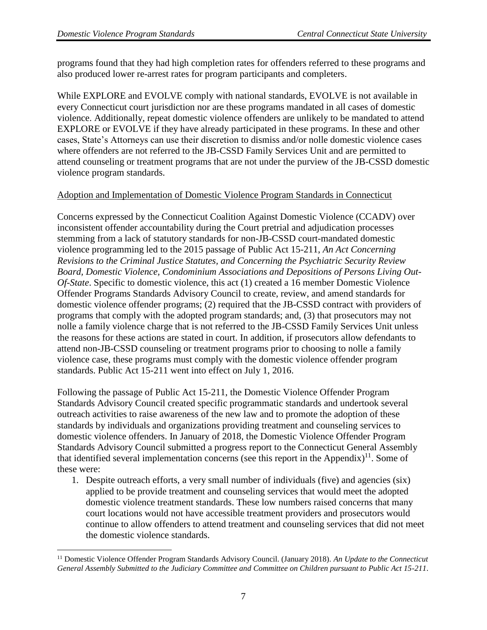$\overline{a}$ 

programs found that they had high completion rates for offenders referred to these programs and also produced lower re-arrest rates for program participants and completers.

While EXPLORE and EVOLVE comply with national standards, EVOLVE is not available in every Connecticut court jurisdiction nor are these programs mandated in all cases of domestic violence. Additionally, repeat domestic violence offenders are unlikely to be mandated to attend EXPLORE or EVOLVE if they have already participated in these programs. In these and other cases, State's Attorneys can use their discretion to dismiss and/or nolle domestic violence cases where offenders are not referred to the JB-CSSD Family Services Unit and are permitted to attend counseling or treatment programs that are not under the purview of the JB-CSSD domestic violence program standards.

## Adoption and Implementation of Domestic Violence Program Standards in Connecticut

Concerns expressed by the Connecticut Coalition Against Domestic Violence (CCADV) over inconsistent offender accountability during the Court pretrial and adjudication processes stemming from a lack of statutory standards for non-JB-CSSD court-mandated domestic violence programming led to the 2015 passage of Public Act 15-211, *An Act Concerning Revisions to the Criminal Justice Statutes, and Concerning the Psychiatric Security Review Board, Domestic Violence, Condominium Associations and Depositions of Persons Living Out-Of-State*. Specific to domestic violence, this act (1) created a 16 member Domestic Violence Offender Programs Standards Advisory Council to create, review, and amend standards for domestic violence offender programs; (2) required that the JB-CSSD contract with providers of programs that comply with the adopted program standards; and, (3) that prosecutors may not nolle a family violence charge that is not referred to the JB-CSSD Family Services Unit unless the reasons for these actions are stated in court. In addition, if prosecutors allow defendants to attend non-JB-CSSD counseling or treatment programs prior to choosing to nolle a family violence case, these programs must comply with the domestic violence offender program standards. Public Act 15-211 went into effect on July 1, 2016.

Following the passage of Public Act 15-211, the Domestic Violence Offender Program Standards Advisory Council created specific programmatic standards and undertook several outreach activities to raise awareness of the new law and to promote the adoption of these standards by individuals and organizations providing treatment and counseling services to domestic violence offenders. In January of 2018, the Domestic Violence Offender Program Standards Advisory Council submitted a progress report to the Connecticut General Assembly that identified several implementation concerns (see this report in the Appendix)<sup>11</sup>. Some of these were:

1. Despite outreach efforts, a very small number of individuals (five) and agencies (six) applied to be provide treatment and counseling services that would meet the adopted domestic violence treatment standards. These low numbers raised concerns that many court locations would not have accessible treatment providers and prosecutors would continue to allow offenders to attend treatment and counseling services that did not meet the domestic violence standards.

<sup>11</sup> Domestic Violence Offender Program Standards Advisory Council. (January 2018). *An Update to the Connecticut General Assembly Submitted to the Judiciary Committee and Committee on Children pursuant to Public Act 15-211*.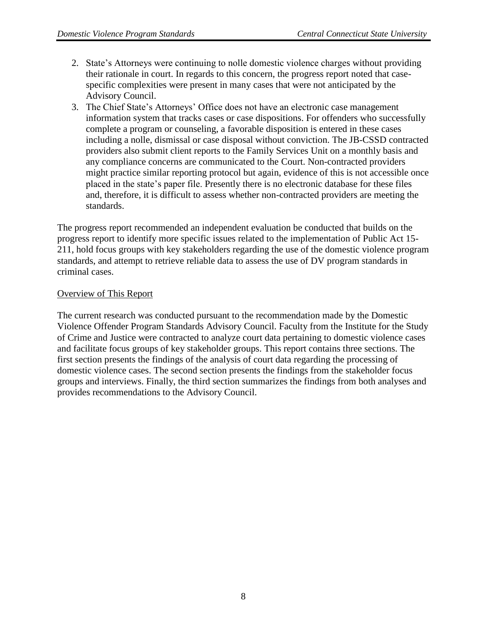- 2. State's Attorneys were continuing to nolle domestic violence charges without providing their rationale in court. In regards to this concern, the progress report noted that casespecific complexities were present in many cases that were not anticipated by the Advisory Council.
- 3. The Chief State's Attorneys' Office does not have an electronic case management information system that tracks cases or case dispositions. For offenders who successfully complete a program or counseling, a favorable disposition is entered in these cases including a nolle, dismissal or case disposal without conviction. The JB-CSSD contracted providers also submit client reports to the Family Services Unit on a monthly basis and any compliance concerns are communicated to the Court. Non-contracted providers might practice similar reporting protocol but again, evidence of this is not accessible once placed in the state's paper file. Presently there is no electronic database for these files and, therefore, it is difficult to assess whether non-contracted providers are meeting the standards.

The progress report recommended an independent evaluation be conducted that builds on the progress report to identify more specific issues related to the implementation of Public Act 15- 211, hold focus groups with key stakeholders regarding the use of the domestic violence program standards, and attempt to retrieve reliable data to assess the use of DV program standards in criminal cases.

## Overview of This Report

The current research was conducted pursuant to the recommendation made by the Domestic Violence Offender Program Standards Advisory Council. Faculty from the Institute for the Study of Crime and Justice were contracted to analyze court data pertaining to domestic violence cases and facilitate focus groups of key stakeholder groups. This report contains three sections. The first section presents the findings of the analysis of court data regarding the processing of domestic violence cases. The second section presents the findings from the stakeholder focus groups and interviews. Finally, the third section summarizes the findings from both analyses and provides recommendations to the Advisory Council.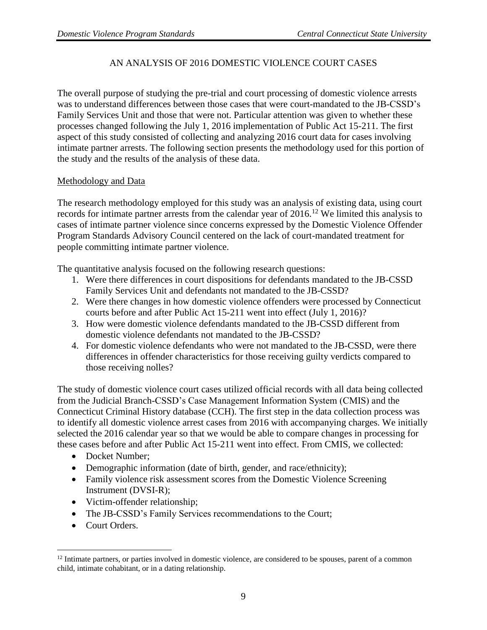## AN ANALYSIS OF 2016 DOMESTIC VIOLENCE COURT CASES

The overall purpose of studying the pre-trial and court processing of domestic violence arrests was to understand differences between those cases that were court-mandated to the JB-CSSD's Family Services Unit and those that were not. Particular attention was given to whether these processes changed following the July 1, 2016 implementation of Public Act 15-211. The first aspect of this study consisted of collecting and analyzing 2016 court data for cases involving intimate partner arrests. The following section presents the methodology used for this portion of the study and the results of the analysis of these data.

## Methodology and Data

The research methodology employed for this study was an analysis of existing data, using court records for intimate partner arrests from the calendar year of 2016.<sup>12</sup> We limited this analysis to cases of intimate partner violence since concerns expressed by the Domestic Violence Offender Program Standards Advisory Council centered on the lack of court-mandated treatment for people committing intimate partner violence.

The quantitative analysis focused on the following research questions:

- 1. Were there differences in court dispositions for defendants mandated to the JB-CSSD Family Services Unit and defendants not mandated to the JB-CSSD?
- 2. Were there changes in how domestic violence offenders were processed by Connecticut courts before and after Public Act 15-211 went into effect (July 1, 2016)?
- 3. How were domestic violence defendants mandated to the JB-CSSD different from domestic violence defendants not mandated to the JB-CSSD?
- 4. For domestic violence defendants who were not mandated to the JB-CSSD, were there differences in offender characteristics for those receiving guilty verdicts compared to those receiving nolles?

The study of domestic violence court cases utilized official records with all data being collected from the Judicial Branch-CSSD's Case Management Information System (CMIS) and the Connecticut Criminal History database (CCH). The first step in the data collection process was to identify all domestic violence arrest cases from 2016 with accompanying charges. We initially selected the 2016 calendar year so that we would be able to compare changes in processing for these cases before and after Public Act 15-211 went into effect. From CMIS, we collected:

- Docket Number;
- Demographic information (date of birth, gender, and race/ethnicity);
- Family violence risk assessment scores from the Domestic Violence Screening Instrument (DVSI-R);
- Victim-offender relationship;
- The JB-CSSD's Family Services recommendations to the Court;
- Court Orders.

 $\overline{a}$ 

 $12$  Intimate partners, or parties involved in domestic violence, are considered to be spouses, parent of a common child, intimate cohabitant, or in a dating relationship.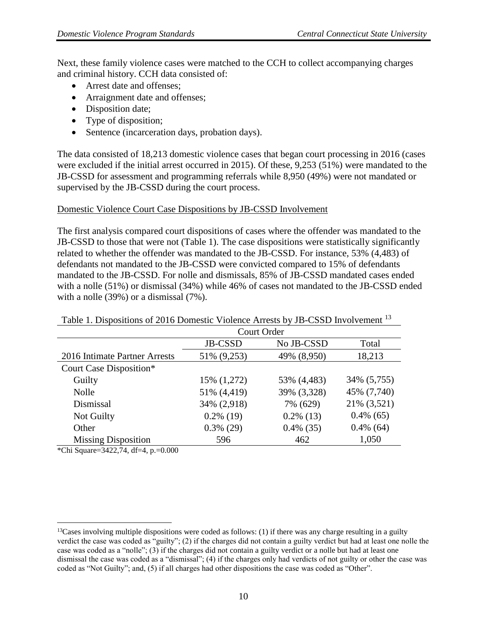Next, these family violence cases were matched to the CCH to collect accompanying charges and criminal history. CCH data consisted of:

- Arrest date and offenses:
- Arraignment date and offenses;
- Disposition date;
- Type of disposition;
- Sentence (incarceration days, probation days).

The data consisted of 18,213 domestic violence cases that began court processing in 2016 (cases were excluded if the initial arrest occurred in 2015). Of these, 9,253 (51%) were mandated to the JB-CSSD for assessment and programming referrals while 8,950 (49%) were not mandated or supervised by the JB-CSSD during the court process.

#### Domestic Violence Court Case Dispositions by JB-CSSD Involvement

The first analysis compared court dispositions of cases where the offender was mandated to the JB-CSSD to those that were not (Table 1). The case dispositions were statistically significantly related to whether the offender was mandated to the JB-CSSD. For instance, 53% (4,483) of defendants not mandated to the JB-CSSD were convicted compared to 15% of defendants mandated to the JB-CSSD. For nolle and dismissals, 85% of JB-CSSD mandated cases ended with a nolle (51%) or dismissal (34%) while 46% of cases not mandated to the JB-CSSD ended with a nolle (39%) or a dismissal (7%).

| Tubly 1. Dispositions of 2010 Domestic Violence Afflosts by the CSSD Involvement |              |              |              |
|----------------------------------------------------------------------------------|--------------|--------------|--------------|
|                                                                                  | Court Order  |              |              |
|                                                                                  | JB-CSSD      | No JB-CSSD   | Total        |
| 2016 Intimate Partner Arrests                                                    | 51% (9,253)  | 49% (8,950)  | 18,213       |
| Court Case Disposition*                                                          |              |              |              |
| Guilty                                                                           | 15% (1,272)  | 53% (4,483)  | 34% (5,755)  |
| Nolle                                                                            | 51% (4,419)  | 39% (3,328)  | 45% (7,740)  |
| Dismissal                                                                        | 34% (2,918)  | 7% (629)     | 21% (3,521)  |
| Not Guilty                                                                       | $0.2\%$ (19) | $0.2\%$ (13) | $0.4\%$ (65) |
| Other                                                                            | $0.3\%$ (29) | $0.4\%$ (35) | $0.4\%$ (64) |
| <b>Missing Disposition</b>                                                       | 596          | 462          | 1,050        |

Table 1. Dispositions of 2016 Domestic Violence Arrests by JB-CSSD Involvement <sup>13</sup>

\*Chi Square=3422,74, df=4, p.=0.000

 $\overline{a}$ 

<sup>&</sup>lt;sup>13</sup>Cases involving multiple dispositions were coded as follows: (1) if there was any charge resulting in a guilty verdict the case was coded as "guilty"; (2) if the charges did not contain a guilty verdict but had at least one nolle the case was coded as a "nolle"; (3) if the charges did not contain a guilty verdict or a nolle but had at least one dismissal the case was coded as a "dismissal"; (4) if the charges only had verdicts of not guilty or other the case was coded as "Not Guilty"; and, (5) if all charges had other dispositions the case was coded as "Other".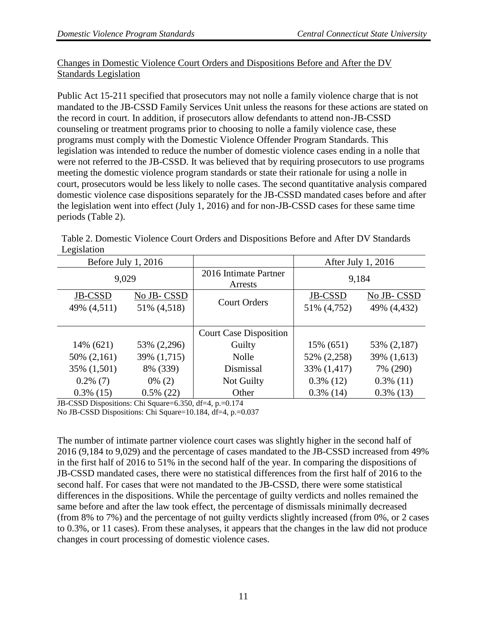## Changes in Domestic Violence Court Orders and Dispositions Before and After the DV Standards Legislation

Public Act 15-211 specified that prosecutors may not nolle a family violence charge that is not mandated to the JB-CSSD Family Services Unit unless the reasons for these actions are stated on the record in court. In addition, if prosecutors allow defendants to attend non-JB-CSSD counseling or treatment programs prior to choosing to nolle a family violence case, these programs must comply with the Domestic Violence Offender Program Standards. This legislation was intended to reduce the number of domestic violence cases ending in a nolle that were not referred to the JB-CSSD. It was believed that by requiring prosecutors to use programs meeting the domestic violence program standards or state their rationale for using a nolle in court, prosecutors would be less likely to nolle cases. The second quantitative analysis compared domestic violence case dispositions separately for the JB-CSSD mandated cases before and after the legislation went into effect (July 1, 2016) and for non-JB-CSSD cases for these same time periods (Table 2).

Table 2. Domestic Violence Court Orders and Dispositions Before and After DV Standards Legislation

| Before July 1, $2016$ |              |                                  | After July 1, 2016 |              |
|-----------------------|--------------|----------------------------------|--------------------|--------------|
| 9,029                 |              | 2016 Intimate Partner<br>Arrests | 9,184              |              |
| JB-CSSD               | No JB-CSSD   | <b>Court Orders</b>              | JB-CSSD            | No JB-CSSD   |
| 49% (4,511)           | 51% (4,518)  |                                  | 51% (4,752)        | 49% (4,432)  |
|                       |              | <b>Court Case Disposition</b>    |                    |              |
| 14% (621)             | 53% (2,296)  | Guilty                           | 15% (651)          | 53% (2,187)  |
| 50% (2,161)           | 39% (1,715)  | <b>Nolle</b>                     | 52% (2,258)        | 39% (1,613)  |
| 35% (1,501)           | 8% (339)     | Dismissal                        | 33% (1,417)        | 7% (290)     |
| $0.2\%$ (7)           | $0\%$ (2)    | Not Guilty                       | $0.3\%$ (12)       | $0.3\%$ (11) |
| $0.3\%$ (15)          | $0.5\%$ (22) | Other                            | $0.3\%$ (14)       | $0.3\%$ (13) |

JB-CSSD Dispositions: Chi Square=6.350, df=4, p.=0.174

No JB-CSSD Dispositions: Chi Square=10.184, df=4, p.=0.037

The number of intimate partner violence court cases was slightly higher in the second half of 2016 (9,184 to 9,029) and the percentage of cases mandated to the JB-CSSD increased from 49% in the first half of 2016 to 51% in the second half of the year. In comparing the dispositions of JB-CSSD mandated cases, there were no statistical differences from the first half of 2016 to the second half. For cases that were not mandated to the JB-CSSD, there were some statistical differences in the dispositions. While the percentage of guilty verdicts and nolles remained the same before and after the law took effect, the percentage of dismissals minimally decreased (from 8% to 7%) and the percentage of not guilty verdicts slightly increased (from 0%, or 2 cases to 0.3%, or 11 cases). From these analyses, it appears that the changes in the law did not produce changes in court processing of domestic violence cases.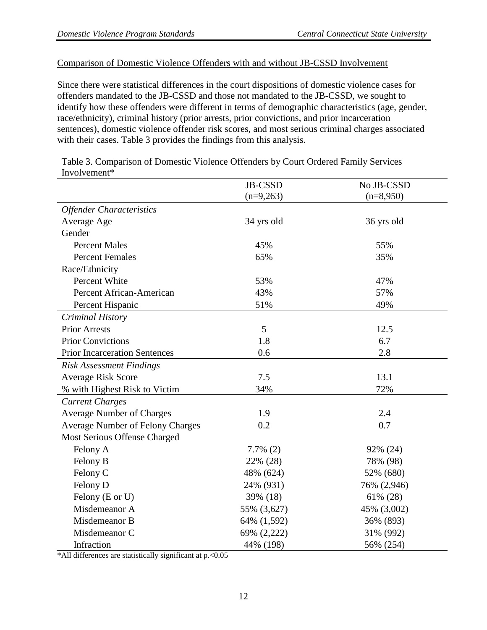#### Comparison of Domestic Violence Offenders with and without JB-CSSD Involvement

Since there were statistical differences in the court dispositions of domestic violence cases for offenders mandated to the JB-CSSD and those not mandated to the JB-CSSD, we sought to identify how these offenders were different in terms of demographic characteristics (age, gender, race/ethnicity), criminal history (prior arrests, prior convictions, and prior incarceration sentences), domestic violence offender risk scores, and most serious criminal charges associated with their cases. Table 3 provides the findings from this analysis.

JB-CSSD  $(n=9,263)$ No JB-CSSD  $(n=8,950)$ *Offender Characteristics* Average Age 34 yrs old 36 yrs old 36 yrs old Gender Percent Males 55% 55% Percent Females 65% 35% 35% Race/Ethnicity Percent White  $53\%$  47% Percent African-American and the 43% 57% 57% Percent Hispanic  $51\%$  49% *Criminal History* Prior Arrests 5 12.5 Prior Convictions 1.8 6.7 Prior Incarceration Sentences 0.6 2.8 *Risk Assessment Findings* Average Risk Score 7.5 13.1 % with Highest Risk to Victim 34% 72% *Current Charges* Average Number of Charges 1.9 2.4 Average Number of Felony Charges 0.2 0.7 Most Serious Offense Charged Felony A 7.7% (2) 92% (24) Felony B 22% (28) 78% (98) Felony C 48% (624) 52% (680) Felony D 24% (931) 76% (2,946) Felony (E or U) 39% (18) 61% (28) Misdemeanor A 55% (3,627) 45% (3,002) Misdemeanor B 64% (1,592) 36% (893) Misdemeanor C 69% (2.222) 31% (992) Infraction 44% (198) 56% (254)

Table 3. Comparison of Domestic Violence Offenders by Court Ordered Family Services Involvement\*

\*All differences are statistically significant at p.<0.05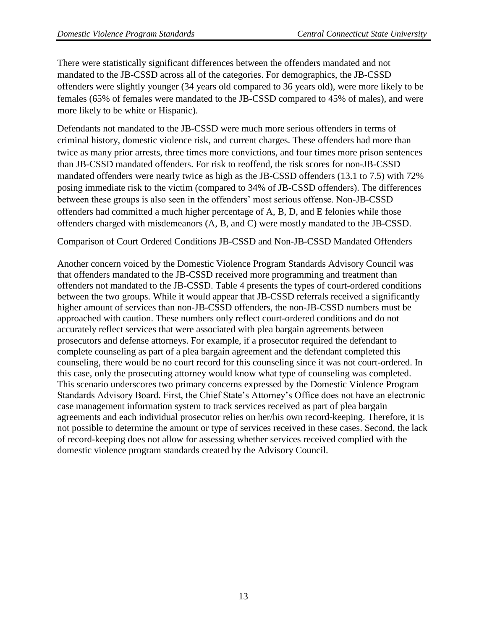There were statistically significant differences between the offenders mandated and not mandated to the JB-CSSD across all of the categories. For demographics, the JB-CSSD offenders were slightly younger (34 years old compared to 36 years old), were more likely to be females (65% of females were mandated to the JB-CSSD compared to 45% of males), and were more likely to be white or Hispanic).

Defendants not mandated to the JB-CSSD were much more serious offenders in terms of criminal history, domestic violence risk, and current charges. These offenders had more than twice as many prior arrests, three times more convictions, and four times more prison sentences than JB-CSSD mandated offenders. For risk to reoffend, the risk scores for non-JB-CSSD mandated offenders were nearly twice as high as the JB-CSSD offenders (13.1 to 7.5) with 72% posing immediate risk to the victim (compared to 34% of JB-CSSD offenders). The differences between these groups is also seen in the offenders' most serious offense. Non-JB-CSSD offenders had committed a much higher percentage of A, B, D, and E felonies while those offenders charged with misdemeanors (A, B, and C) were mostly mandated to the JB-CSSD.

#### Comparison of Court Ordered Conditions JB-CSSD and Non-JB-CSSD Mandated Offenders

Another concern voiced by the Domestic Violence Program Standards Advisory Council was that offenders mandated to the JB-CSSD received more programming and treatment than offenders not mandated to the JB-CSSD. Table 4 presents the types of court-ordered conditions between the two groups. While it would appear that JB-CSSD referrals received a significantly higher amount of services than non-JB-CSSD offenders, the non-JB-CSSD numbers must be approached with caution. These numbers only reflect court-ordered conditions and do not accurately reflect services that were associated with plea bargain agreements between prosecutors and defense attorneys. For example, if a prosecutor required the defendant to complete counseling as part of a plea bargain agreement and the defendant completed this counseling, there would be no court record for this counseling since it was not court-ordered. In this case, only the prosecuting attorney would know what type of counseling was completed. This scenario underscores two primary concerns expressed by the Domestic Violence Program Standards Advisory Board. First, the Chief State's Attorney's Office does not have an electronic case management information system to track services received as part of plea bargain agreements and each individual prosecutor relies on her/his own record-keeping. Therefore, it is not possible to determine the amount or type of services received in these cases. Second, the lack of record-keeping does not allow for assessing whether services received complied with the domestic violence program standards created by the Advisory Council.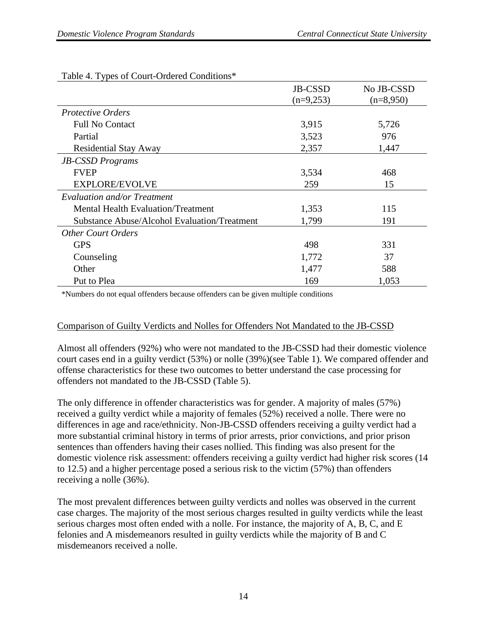|                                              | JB-CSSD     | No JB-CSSD  |
|----------------------------------------------|-------------|-------------|
|                                              | $(n=9,253)$ | $(n=8,950)$ |
| <b>Protective Orders</b>                     |             |             |
| <b>Full No Contact</b>                       | 3,915       | 5,726       |
| Partial                                      | 3,523       | 976         |
| <b>Residential Stay Away</b>                 | 2,357       | 1,447       |
| <b>JB-CSSD</b> Programs                      |             |             |
| <b>FVEP</b>                                  | 3,534       | 468         |
| EXPLORE/EVOLVE                               | 259         | 15          |
| Evaluation and/or Treatment                  |             |             |
| <b>Mental Health Evaluation/Treatment</b>    | 1,353       | 115         |
| Substance Abuse/Alcohol Evaluation/Treatment | 1,799       | 191         |
| <b>Other Court Orders</b>                    |             |             |
| <b>GPS</b>                                   | 498         | 331         |
| Counseling                                   | 1,772       | 37          |
| Other                                        | 1,477       | 588         |
| Put to Plea                                  | 169         | 1,053       |

## Table 4. Types of Court-Ordered Conditions\*

\*Numbers do not equal offenders because offenders can be given multiple conditions

## Comparison of Guilty Verdicts and Nolles for Offenders Not Mandated to the JB-CSSD

Almost all offenders (92%) who were not mandated to the JB-CSSD had their domestic violence court cases end in a guilty verdict (53%) or nolle (39%)(see Table 1). We compared offender and offense characteristics for these two outcomes to better understand the case processing for offenders not mandated to the JB-CSSD (Table 5).

The only difference in offender characteristics was for gender. A majority of males (57%) received a guilty verdict while a majority of females (52%) received a nolle. There were no differences in age and race/ethnicity. Non-JB-CSSD offenders receiving a guilty verdict had a more substantial criminal history in terms of prior arrests, prior convictions, and prior prison sentences than offenders having their cases nollied. This finding was also present for the domestic violence risk assessment: offenders receiving a guilty verdict had higher risk scores (14 to 12.5) and a higher percentage posed a serious risk to the victim (57%) than offenders receiving a nolle (36%).

The most prevalent differences between guilty verdicts and nolles was observed in the current case charges. The majority of the most serious charges resulted in guilty verdicts while the least serious charges most often ended with a nolle. For instance, the majority of A, B, C, and E felonies and A misdemeanors resulted in guilty verdicts while the majority of B and C misdemeanors received a nolle.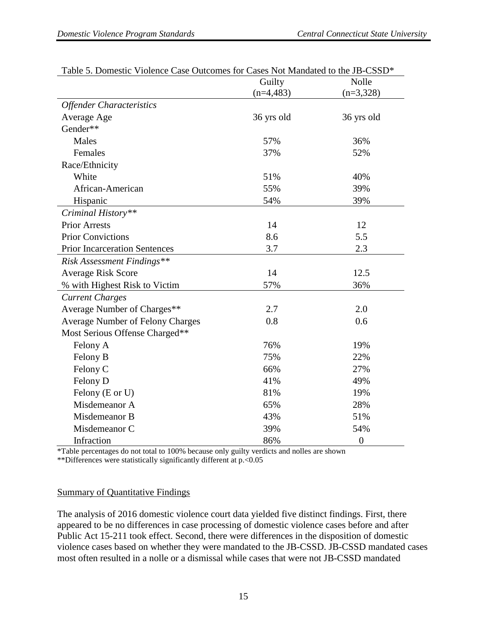|                                         | Guilty      | Nolle          |
|-----------------------------------------|-------------|----------------|
|                                         | $(n=4,483)$ | $(n=3,328)$    |
| <b>Offender Characteristics</b>         |             |                |
| Average Age                             | 36 yrs old  | 36 yrs old     |
| Gender**                                |             |                |
| Males                                   | 57%         | 36%            |
| Females                                 | 37%         | 52%            |
| Race/Ethnicity                          |             |                |
| White                                   | 51%         | 40%            |
| African-American                        | 55%         | 39%            |
| Hispanic                                | 54%         | 39%            |
| Criminal History**                      |             |                |
| <b>Prior Arrests</b>                    | 14          | 12             |
| <b>Prior Convictions</b>                | 8.6         | 5.5            |
| <b>Prior Incarceration Sentences</b>    | 3.7         | 2.3            |
| <b>Risk Assessment Findings**</b>       |             |                |
| <b>Average Risk Score</b>               | 14          | 12.5           |
| % with Highest Risk to Victim           | 57%         | 36%            |
| <b>Current Charges</b>                  |             |                |
| Average Number of Charges**             | 2.7         | 2.0            |
| <b>Average Number of Felony Charges</b> | 0.8         | 0.6            |
| Most Serious Offense Charged**          |             |                |
| Felony A                                | 76%         | 19%            |
| Felony B                                | 75%         | 22%            |
| Felony C                                | 66%         | 27%            |
| Felony D                                | 41%         | 49%            |
| Felony (E or U)                         | 81%         | 19%            |
| Misdemeanor A                           | 65%         | 28%            |
| Misdemeanor B                           | 43%         | 51%            |
| Misdemeanor C                           | 39%         | 54%            |
| Infraction                              | 86%         | $\overline{0}$ |

| Table 5. Domestic Violence Case Outcomes for Cases Not Mandated to the JB-CSSD* |  |
|---------------------------------------------------------------------------------|--|
|---------------------------------------------------------------------------------|--|

\*Table percentages do not total to 100% because only guilty verdicts and nolles are shown

\*\*Differences were statistically significantly different at p.<0.05

#### Summary of Quantitative Findings

The analysis of 2016 domestic violence court data yielded five distinct findings. First, there appeared to be no differences in case processing of domestic violence cases before and after Public Act 15-211 took effect. Second, there were differences in the disposition of domestic violence cases based on whether they were mandated to the JB-CSSD. JB-CSSD mandated cases most often resulted in a nolle or a dismissal while cases that were not JB-CSSD mandated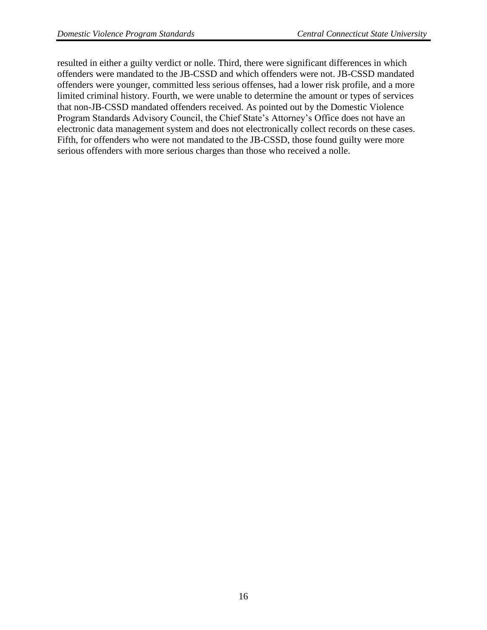resulted in either a guilty verdict or nolle. Third, there were significant differences in which offenders were mandated to the JB-CSSD and which offenders were not. JB-CSSD mandated offenders were younger, committed less serious offenses, had a lower risk profile, and a more limited criminal history. Fourth, we were unable to determine the amount or types of services that non-JB-CSSD mandated offenders received. As pointed out by the Domestic Violence Program Standards Advisory Council, the Chief State's Attorney's Office does not have an electronic data management system and does not electronically collect records on these cases. Fifth, for offenders who were not mandated to the JB-CSSD, those found guilty were more serious offenders with more serious charges than those who received a nolle.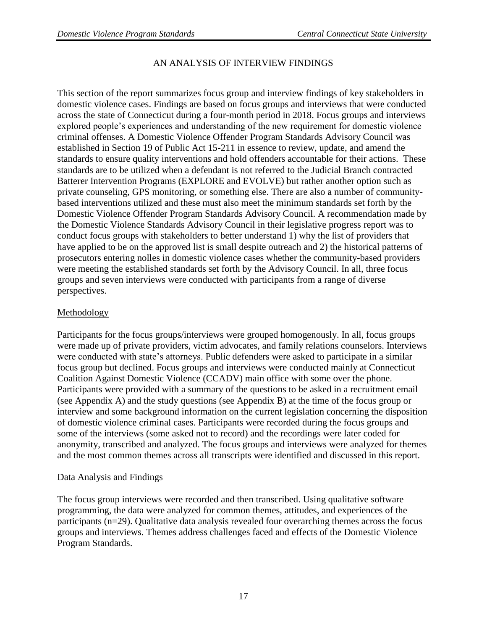## AN ANALYSIS OF INTERVIEW FINDINGS

This section of the report summarizes focus group and interview findings of key stakeholders in domestic violence cases. Findings are based on focus groups and interviews that were conducted across the state of Connecticut during a four-month period in 2018. Focus groups and interviews explored people's experiences and understanding of the new requirement for domestic violence criminal offenses. A Domestic Violence Offender Program Standards Advisory Council was established in Section 19 of Public Act 15-211 in essence to review, update, and amend the standards to ensure quality interventions and hold offenders accountable for their actions. These standards are to be utilized when a defendant is not referred to the Judicial Branch contracted Batterer Intervention Programs (EXPLORE and EVOLVE) but rather another option such as private counseling, GPS monitoring, or something else. There are also a number of communitybased interventions utilized and these must also meet the minimum standards set forth by the Domestic Violence Offender Program Standards Advisory Council. A recommendation made by the Domestic Violence Standards Advisory Council in their legislative progress report was to conduct focus groups with stakeholders to better understand 1) why the list of providers that have applied to be on the approved list is small despite outreach and 2) the historical patterns of prosecutors entering nolles in domestic violence cases whether the community-based providers were meeting the established standards set forth by the Advisory Council. In all, three focus groups and seven interviews were conducted with participants from a range of diverse perspectives.

## Methodology

Participants for the focus groups/interviews were grouped homogenously. In all, focus groups were made up of private providers, victim advocates, and family relations counselors. Interviews were conducted with state's attorneys. Public defenders were asked to participate in a similar focus group but declined. Focus groups and interviews were conducted mainly at Connecticut Coalition Against Domestic Violence (CCADV) main office with some over the phone. Participants were provided with a summary of the questions to be asked in a recruitment email (see Appendix A) and the study questions (see Appendix B) at the time of the focus group or interview and some background information on the current legislation concerning the disposition of domestic violence criminal cases. Participants were recorded during the focus groups and some of the interviews (some asked not to record) and the recordings were later coded for anonymity, transcribed and analyzed. The focus groups and interviews were analyzed for themes and the most common themes across all transcripts were identified and discussed in this report.

## Data Analysis and Findings

The focus group interviews were recorded and then transcribed. Using qualitative software programming, the data were analyzed for common themes, attitudes, and experiences of the participants (n=29). Qualitative data analysis revealed four overarching themes across the focus groups and interviews. Themes address challenges faced and effects of the Domestic Violence Program Standards.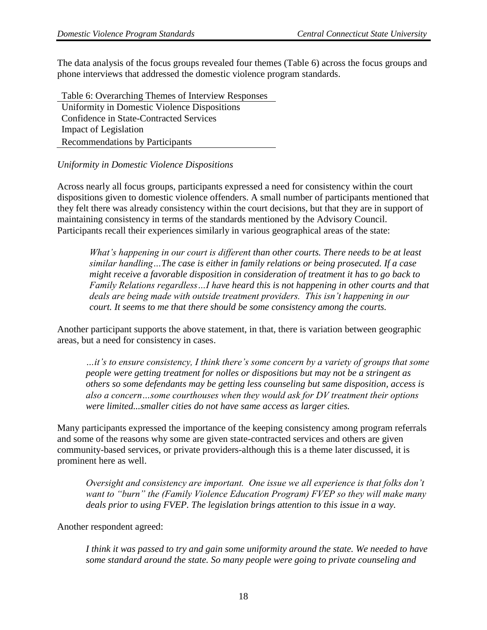The data analysis of the focus groups revealed four themes (Table 6) across the focus groups and phone interviews that addressed the domestic violence program standards.

Table 6: Overarching Themes of Interview Responses Uniformity in Domestic Violence Dispositions Confidence in State-Contracted Services Impact of Legislation Recommendations by Participants

## *Uniformity in Domestic Violence Dispositions*

Across nearly all focus groups, participants expressed a need for consistency within the court dispositions given to domestic violence offenders. A small number of participants mentioned that they felt there was already consistency within the court decisions, but that they are in support of maintaining consistency in terms of the standards mentioned by the Advisory Council. Participants recall their experiences similarly in various geographical areas of the state:

*What's happening in our court is different than other courts. There needs to be at least similar handling…The case is either in family relations or being prosecuted. If a case might receive a favorable disposition in consideration of treatment it has to go back to Family Relations regardless…I have heard this is not happening in other courts and that deals are being made with outside treatment providers. This isn't happening in our court. It seems to me that there should be some consistency among the courts.*

Another participant supports the above statement, in that, there is variation between geographic areas, but a need for consistency in cases.

*…it's to ensure consistency, I think there's some concern by a variety of groups that some people were getting treatment for nolles or dispositions but may not be a stringent as others so some defendants may be getting less counseling but same disposition, access is also a concern…some courthouses when they would ask for DV treatment their options were limited...smaller cities do not have same access as larger cities.* 

Many participants expressed the importance of the keeping consistency among program referrals and some of the reasons why some are given state-contracted services and others are given community-based services, or private providers-although this is a theme later discussed, it is prominent here as well.

*Oversight and consistency are important. One issue we all experience is that folks don't want to "burn" the (Family Violence Education Program) FVEP so they will make many deals prior to using FVEP. The legislation brings attention to this issue in a way.*

#### Another respondent agreed:

*I think it was passed to try and gain some uniformity around the state. We needed to have some standard around the state. So many people were going to private counseling and*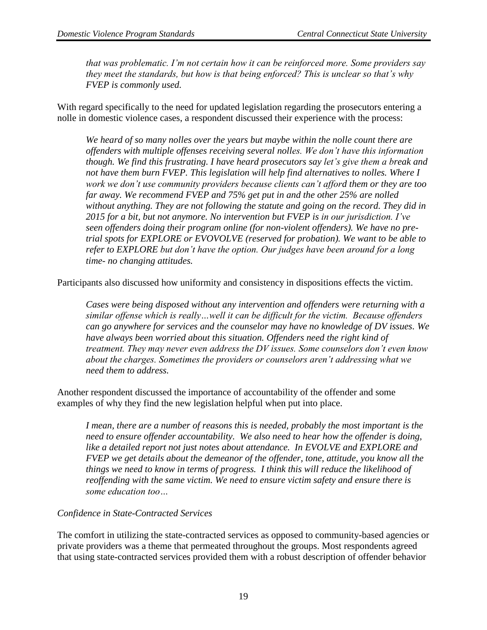*that was problematic. I'm not certain how it can be reinforced more. Some providers say they meet the standards, but how is that being enforced? This is unclear so that's why FVEP is commonly used.* 

With regard specifically to the need for updated legislation regarding the prosecutors entering a nolle in domestic violence cases, a respondent discussed their experience with the process:

*We heard of so many nolles over the years but maybe within the nolle count there are offenders with multiple offenses receiving several nolles. We don't have this information though. We find this frustrating. I have heard prosecutors say let's give them a break and not have them burn FVEP. This legislation will help find alternatives to nolles. Where I work we don't use community providers because clients can't afford them or they are too far away. We recommend FVEP and 75% get put in and the other 25% are nolled without anything. They are not following the statute and going on the record. They did in 2015 for a bit, but not anymore. No intervention but FVEP is in our jurisdiction. I've seen offenders doing their program online (for non-violent offenders). We have no pretrial spots for EXPLORE or EVOVOLVE (reserved for probation). We want to be able to refer to EXPLORE but don't have the option. Our judges have been around for a long time- no changing attitudes.*

Participants also discussed how uniformity and consistency in dispositions effects the victim.

*Cases were being disposed without any intervention and offenders were returning with a similar offense which is really…well it can be difficult for the victim. Because offenders can go anywhere for services and the counselor may have no knowledge of DV issues. We*  have always been worried about this situation. Offenders need the right kind of *treatment. They may never even address the DV issues. Some counselors don't even know about the charges. Sometimes the providers or counselors aren't addressing what we need them to address.*

Another respondent discussed the importance of accountability of the offender and some examples of why they find the new legislation helpful when put into place.

*I mean, there are a number of reasons this is needed, probably the most important is the need to ensure offender accountability. We also need to hear how the offender is doing,*  like a detailed report not just notes about attendance. In EVOLVE and EXPLORE and *FVEP we get details about the demeanor of the offender, tone, attitude, you know all the things we need to know in terms of progress. I think this will reduce the likelihood of reoffending with the same victim. We need to ensure victim safety and ensure there is some education too…*

#### *Confidence in State-Contracted Services*

The comfort in utilizing the state-contracted services as opposed to community-based agencies or private providers was a theme that permeated throughout the groups. Most respondents agreed that using state-contracted services provided them with a robust description of offender behavior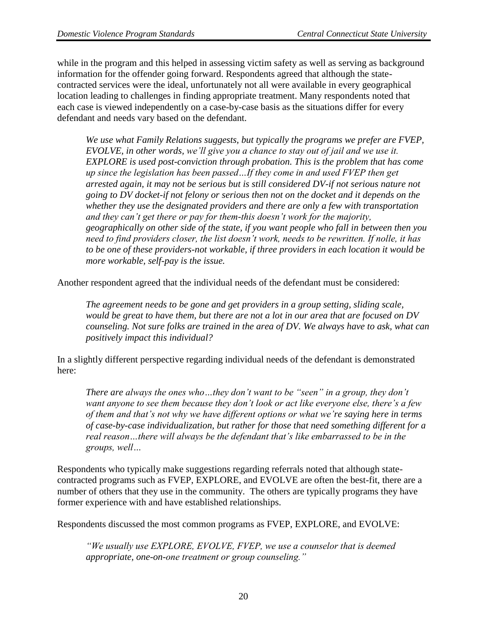while in the program and this helped in assessing victim safety as well as serving as background information for the offender going forward. Respondents agreed that although the statecontracted services were the ideal, unfortunately not all were available in every geographical location leading to challenges in finding appropriate treatment. Many respondents noted that each case is viewed independently on a case-by-case basis as the situations differ for every defendant and needs vary based on the defendant.

*We use what Family Relations suggests, but typically the programs we prefer are FVEP, EVOLVE, in other words, we'll give you a chance to stay out of jail and we use it. EXPLORE is used post-conviction through probation. This is the problem that has come up since the legislation has been passed…If they come in and used FVEP then get arrested again, it may not be serious but is still considered DV-if not serious nature not going to DV docket-if not felony or serious then not on the docket and it depends on the whether they use the designated providers and there are only a few with transportation and they can't get there or pay for them-this doesn't work for the majority, geographically on other side of the state, if you want people who fall in between then you need to find providers closer, the list doesn't work, needs to be rewritten. If nolle, it has to be one of these providers-not workable, if three providers in each location it would be more workable, self-pay is the issue.* 

Another respondent agreed that the individual needs of the defendant must be considered:

*The agreement needs to be gone and get providers in a group setting, sliding scale, would be great to have them, but there are not a lot in our area that are focused on DV counseling. Not sure folks are trained in the area of DV. We always have to ask, what can positively impact this individual?*

In a slightly different perspective regarding individual needs of the defendant is demonstrated here:

*There are always the ones who…they don't want to be "seen" in a group, they don't want anyone to see them because they don't look or act like everyone else, there's a few of them and that's not why we have different options or what we're saying here in terms of case-by-case individualization, but rather for those that need something different for a real reason…there will always be the defendant that's like embarrassed to be in the groups, well…*

Respondents who typically make suggestions regarding referrals noted that although statecontracted programs such as FVEP, EXPLORE, and EVOLVE are often the best-fit, there are a number of others that they use in the community. The others are typically programs they have former experience with and have established relationships.

Respondents discussed the most common programs as FVEP, EXPLORE, and EVOLVE:

*"We usually use EXPLORE, EVOLVE, FVEP, we use a counselor that is deemed appropriate, one-on-one treatment or group counseling."*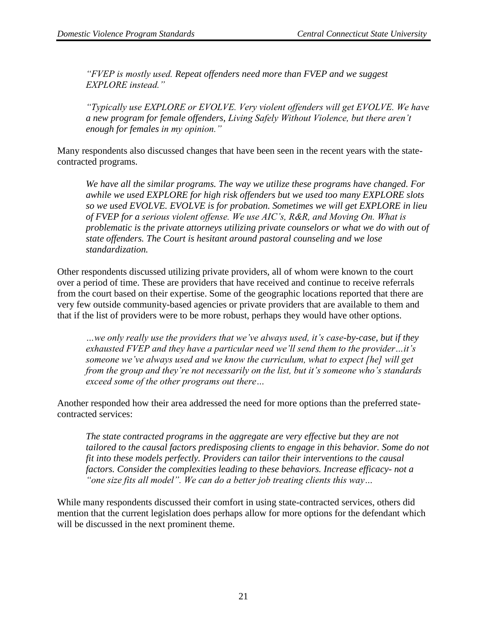*"FVEP is mostly used. Repeat offenders need more than FVEP and we suggest EXPLORE instead."*

*"Typically use EXPLORE or EVOLVE. Very violent offenders will get EVOLVE. We have a new program for female offenders, Living Safely Without Violence, but there aren't enough for females in my opinion."*

Many respondents also discussed changes that have been seen in the recent years with the statecontracted programs.

*We have all the similar programs. The way we utilize these programs have changed. For awhile we used EXPLORE for high risk offenders but we used too many EXPLORE slots so we used EVOLVE. EVOLVE is for probation. Sometimes we will get EXPLORE in lieu of FVEP for a serious violent offense. We use AIC's, R&R, and Moving On. What is problematic is the private attorneys utilizing private counselors or what we do with out of state offenders. The Court is hesitant around pastoral counseling and we lose standardization.*

Other respondents discussed utilizing private providers, all of whom were known to the court over a period of time. These are providers that have received and continue to receive referrals from the court based on their expertise. Some of the geographic locations reported that there are very few outside community-based agencies or private providers that are available to them and that if the list of providers were to be more robust, perhaps they would have other options.

*…we only really use the providers that we've always used, it's case-by-case, but if they exhausted FVEP and they have a particular need we'll send them to the provider…it's someone we've always used and we know the curriculum, what to expect [he] will get from the group and they're not necessarily on the list, but it's someone who's standards exceed some of the other programs out there…* 

Another responded how their area addressed the need for more options than the preferred statecontracted services:

*The state contracted programs in the aggregate are very effective but they are not tailored to the causal factors predisposing clients to engage in this behavior. Some do not fit into these models perfectly. Providers can tailor their interventions to the causal factors. Consider the complexities leading to these behaviors. Increase efficacy- not a "one size fits all model". We can do a better job treating clients this way…*

While many respondents discussed their comfort in using state-contracted services, others did mention that the current legislation does perhaps allow for more options for the defendant which will be discussed in the next prominent theme.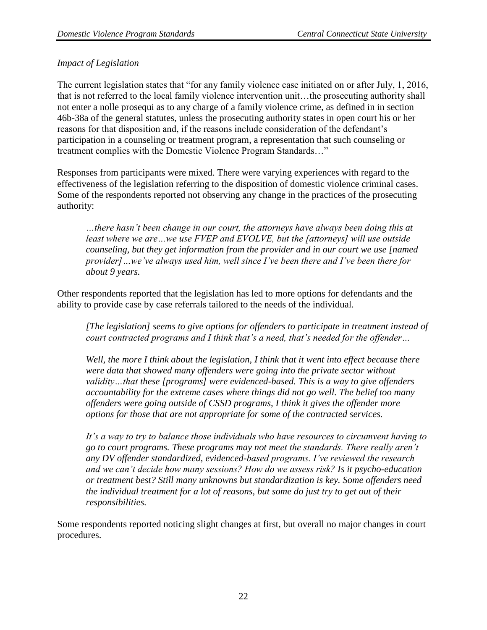## *Impact of Legislation*

The current legislation states that "for any family violence case initiated on or after July, 1, 2016, that is not referred to the local family violence intervention unit…the prosecuting authority shall not enter a nolle prosequi as to any charge of a family violence crime, as defined in in section 46b-38a of the general statutes, unless the prosecuting authority states in open court his or her reasons for that disposition and, if the reasons include consideration of the defendant's participation in a counseling or treatment program, a representation that such counseling or treatment complies with the Domestic Violence Program Standards…"

Responses from participants were mixed. There were varying experiences with regard to the effectiveness of the legislation referring to the disposition of domestic violence criminal cases. Some of the respondents reported not observing any change in the practices of the prosecuting authority:

*…there hasn't been change in our court, the attorneys have always been doing this at least where we are…we use FVEP and EVOLVE, but the [attorneys] will use outside counseling, but they get information from the provider and in our court we use [named provider]…we've always used him, well since I've been there and I've been there for about 9 years.* 

Other respondents reported that the legislation has led to more options for defendants and the ability to provide case by case referrals tailored to the needs of the individual.

*[The legislation] seems to give options for offenders to participate in treatment instead of court contracted programs and I think that's a need, that's needed for the offender…*

*Well, the more I think about the legislation, I think that it went into effect because there were data that showed many offenders were going into the private sector without validity…that these [programs] were evidenced-based. This is a way to give offenders accountability for the extreme cases where things did not go well. The belief too many offenders were going outside of CSSD programs, I think it gives the offender more options for those that are not appropriate for some of the contracted services.* 

*It's a way to try to balance those individuals who have resources to circumvent having to go to court programs. These programs may not meet the standards. There really aren't any DV offender standardized, evidenced-based programs. I've reviewed the research and we can't decide how many sessions? How do we assess risk? Is it psycho-education or treatment best? Still many unknowns but standardization is key. Some offenders need the individual treatment for a lot of reasons, but some do just try to get out of their responsibilities.*

Some respondents reported noticing slight changes at first, but overall no major changes in court procedures.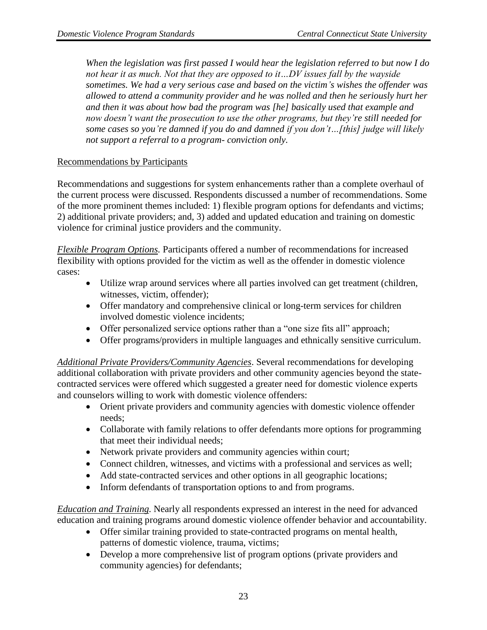*When the legislation was first passed I would hear the legislation referred to but now I do not hear it as much. Not that they are opposed to it…DV issues fall by the wayside sometimes. We had a very serious case and based on the victim's wishes the offender was allowed to attend a community provider and he was nolled and then he seriously hurt her and then it was about how bad the program was [he] basically used that example and now doesn't want the prosecution to use the other programs, but they're still needed for some cases so you're damned if you do and damned if you don't…[this] judge will likely not support a referral to a program- conviction only.*

## Recommendations by Participants

Recommendations and suggestions for system enhancements rather than a complete overhaul of the current process were discussed. Respondents discussed a number of recommendations. Some of the more prominent themes included: 1) flexible program options for defendants and victims; 2) additional private providers; and, 3) added and updated education and training on domestic violence for criminal justice providers and the community.

*Flexible Program Options.* Participants offered a number of recommendations for increased flexibility with options provided for the victim as well as the offender in domestic violence cases:

- Utilize wrap around services where all parties involved can get treatment (children, witnesses, victim, offender);
- Offer mandatory and comprehensive clinical or long-term services for children involved domestic violence incidents;
- Offer personalized service options rather than a "one size fits all" approach;
- Offer programs/providers in multiple languages and ethnically sensitive curriculum.

*Additional Private Providers/Community Agencies*. Several recommendations for developing additional collaboration with private providers and other community agencies beyond the statecontracted services were offered which suggested a greater need for domestic violence experts and counselors willing to work with domestic violence offenders:

- Orient private providers and community agencies with domestic violence offender needs;
- Collaborate with family relations to offer defendants more options for programming that meet their individual needs;
- Network private providers and community agencies within court;
- Connect children, witnesses, and victims with a professional and services as well;
- Add state-contracted services and other options in all geographic locations;
- Inform defendants of transportation options to and from programs.

*Education and Training.* Nearly all respondents expressed an interest in the need for advanced education and training programs around domestic violence offender behavior and accountability.

- Offer similar training provided to state-contracted programs on mental health, patterns of domestic violence, trauma, victims;
- Develop a more comprehensive list of program options (private providers and community agencies) for defendants;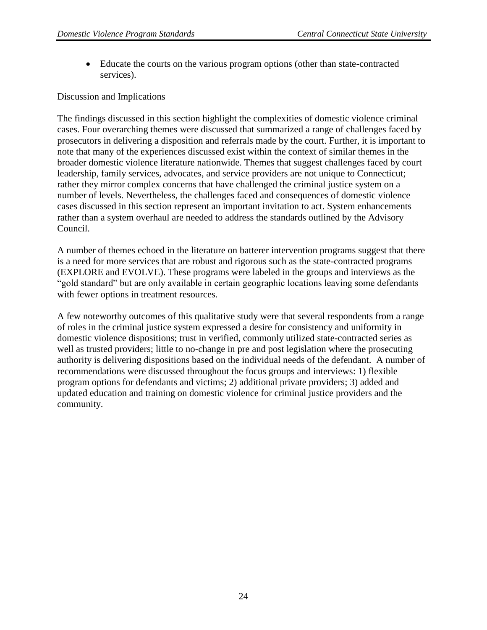• Educate the courts on the various program options (other than state-contracted services).

#### Discussion and Implications

The findings discussed in this section highlight the complexities of domestic violence criminal cases. Four overarching themes were discussed that summarized a range of challenges faced by prosecutors in delivering a disposition and referrals made by the court. Further, it is important to note that many of the experiences discussed exist within the context of similar themes in the broader domestic violence literature nationwide. Themes that suggest challenges faced by court leadership, family services, advocates, and service providers are not unique to Connecticut; rather they mirror complex concerns that have challenged the criminal justice system on a number of levels. Nevertheless, the challenges faced and consequences of domestic violence cases discussed in this section represent an important invitation to act. System enhancements rather than a system overhaul are needed to address the standards outlined by the Advisory Council.

A number of themes echoed in the literature on batterer intervention programs suggest that there is a need for more services that are robust and rigorous such as the state-contracted programs (EXPLORE and EVOLVE). These programs were labeled in the groups and interviews as the "gold standard" but are only available in certain geographic locations leaving some defendants with fewer options in treatment resources.

A few noteworthy outcomes of this qualitative study were that several respondents from a range of roles in the criminal justice system expressed a desire for consistency and uniformity in domestic violence dispositions; trust in verified, commonly utilized state-contracted series as well as trusted providers; little to no-change in pre and post legislation where the prosecuting authority is delivering dispositions based on the individual needs of the defendant. A number of recommendations were discussed throughout the focus groups and interviews: 1) flexible program options for defendants and victims; 2) additional private providers; 3) added and updated education and training on domestic violence for criminal justice providers and the community.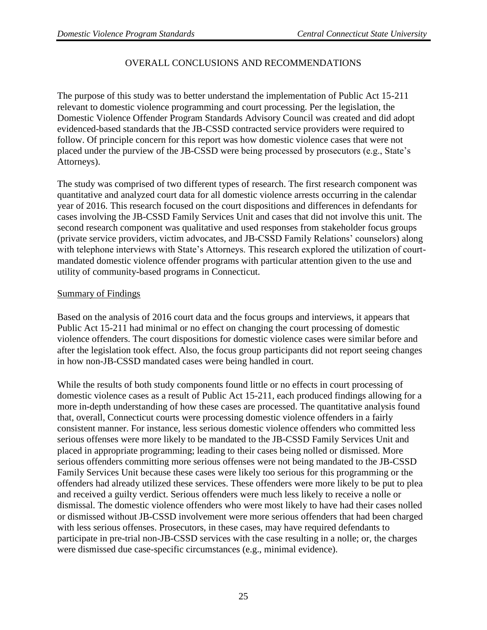## OVERALL CONCLUSIONS AND RECOMMENDATIONS

The purpose of this study was to better understand the implementation of Public Act 15-211 relevant to domestic violence programming and court processing. Per the legislation, the Domestic Violence Offender Program Standards Advisory Council was created and did adopt evidenced-based standards that the JB-CSSD contracted service providers were required to follow. Of principle concern for this report was how domestic violence cases that were not placed under the purview of the JB-CSSD were being processed by prosecutors (e.g., State's Attorneys).

The study was comprised of two different types of research. The first research component was quantitative and analyzed court data for all domestic violence arrests occurring in the calendar year of 2016. This research focused on the court dispositions and differences in defendants for cases involving the JB-CSSD Family Services Unit and cases that did not involve this unit. The second research component was qualitative and used responses from stakeholder focus groups (private service providers, victim advocates, and JB-CSSD Family Relations' counselors) along with telephone interviews with State's Attorneys. This research explored the utilization of courtmandated domestic violence offender programs with particular attention given to the use and utility of community-based programs in Connecticut.

## Summary of Findings

Based on the analysis of 2016 court data and the focus groups and interviews, it appears that Public Act 15-211 had minimal or no effect on changing the court processing of domestic violence offenders. The court dispositions for domestic violence cases were similar before and after the legislation took effect. Also, the focus group participants did not report seeing changes in how non-JB-CSSD mandated cases were being handled in court.

While the results of both study components found little or no effects in court processing of domestic violence cases as a result of Public Act 15-211, each produced findings allowing for a more in-depth understanding of how these cases are processed. The quantitative analysis found that, overall, Connecticut courts were processing domestic violence offenders in a fairly consistent manner. For instance, less serious domestic violence offenders who committed less serious offenses were more likely to be mandated to the JB-CSSD Family Services Unit and placed in appropriate programming; leading to their cases being nolled or dismissed. More serious offenders committing more serious offenses were not being mandated to the JB-CSSD Family Services Unit because these cases were likely too serious for this programming or the offenders had already utilized these services. These offenders were more likely to be put to plea and received a guilty verdict. Serious offenders were much less likely to receive a nolle or dismissal. The domestic violence offenders who were most likely to have had their cases nolled or dismissed without JB-CSSD involvement were more serious offenders that had been charged with less serious offenses. Prosecutors, in these cases, may have required defendants to participate in pre-trial non-JB-CSSD services with the case resulting in a nolle; or, the charges were dismissed due case-specific circumstances (e.g., minimal evidence).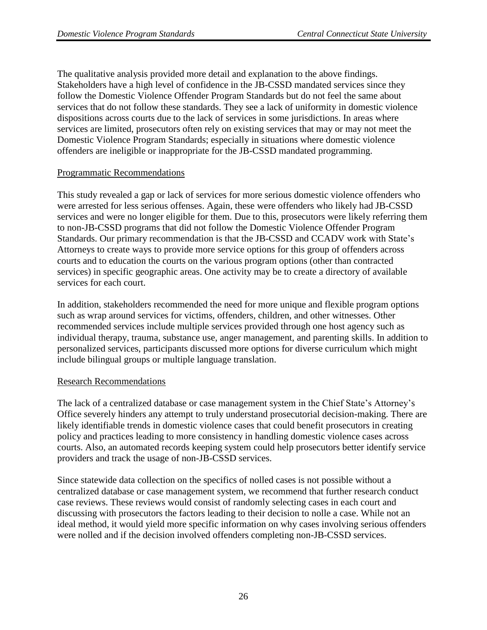The qualitative analysis provided more detail and explanation to the above findings. Stakeholders have a high level of confidence in the JB-CSSD mandated services since they follow the Domestic Violence Offender Program Standards but do not feel the same about services that do not follow these standards. They see a lack of uniformity in domestic violence dispositions across courts due to the lack of services in some jurisdictions. In areas where services are limited, prosecutors often rely on existing services that may or may not meet the Domestic Violence Program Standards; especially in situations where domestic violence offenders are ineligible or inappropriate for the JB-CSSD mandated programming.

## Programmatic Recommendations

This study revealed a gap or lack of services for more serious domestic violence offenders who were arrested for less serious offenses. Again, these were offenders who likely had JB-CSSD services and were no longer eligible for them. Due to this, prosecutors were likely referring them to non-JB-CSSD programs that did not follow the Domestic Violence Offender Program Standards. Our primary recommendation is that the JB-CSSD and CCADV work with State's Attorneys to create ways to provide more service options for this group of offenders across courts and to education the courts on the various program options (other than contracted services) in specific geographic areas. One activity may be to create a directory of available services for each court.

In addition, stakeholders recommended the need for more unique and flexible program options such as wrap around services for victims, offenders, children, and other witnesses. Other recommended services include multiple services provided through one host agency such as individual therapy, trauma, substance use, anger management, and parenting skills. In addition to personalized services, participants discussed more options for diverse curriculum which might include bilingual groups or multiple language translation.

#### Research Recommendations

The lack of a centralized database or case management system in the Chief State's Attorney's Office severely hinders any attempt to truly understand prosecutorial decision-making. There are likely identifiable trends in domestic violence cases that could benefit prosecutors in creating policy and practices leading to more consistency in handling domestic violence cases across courts. Also, an automated records keeping system could help prosecutors better identify service providers and track the usage of non-JB-CSSD services.

Since statewide data collection on the specifics of nolled cases is not possible without a centralized database or case management system, we recommend that further research conduct case reviews. These reviews would consist of randomly selecting cases in each court and discussing with prosecutors the factors leading to their decision to nolle a case. While not an ideal method, it would yield more specific information on why cases involving serious offenders were nolled and if the decision involved offenders completing non-JB-CSSD services.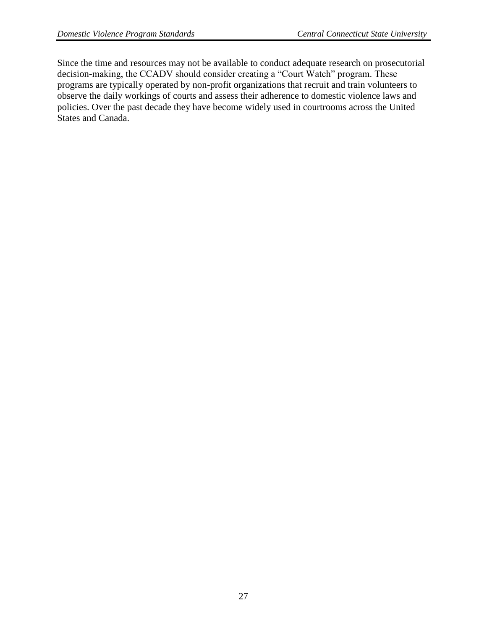Since the time and resources may not be available to conduct adequate research on prosecutorial decision-making, the CCADV should consider creating a "Court Watch" program. These programs are typically operated by non-profit organizations that recruit and train volunteers to observe the daily workings of courts and assess their adherence to domestic violence laws and policies. Over the past decade they have become widely used in courtrooms across the United States and Canada.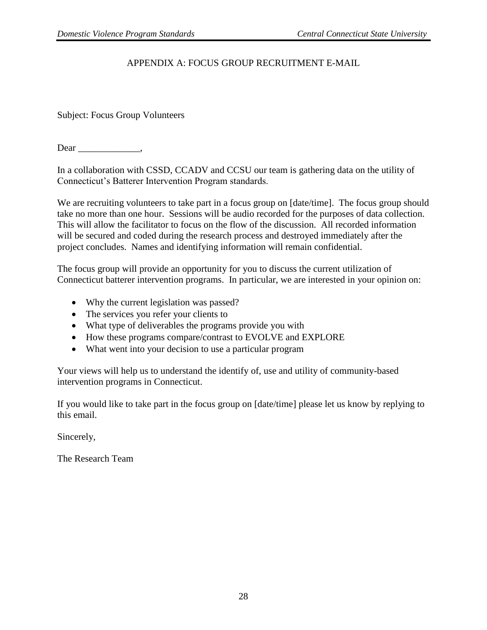## APPENDIX A: FOCUS GROUP RECRUITMENT E-MAIL

Subject: Focus Group Volunteers

Dear .

In a collaboration with CSSD, CCADV and CCSU our team is gathering data on the utility of Connecticut's Batterer Intervention Program standards.

We are recruiting volunteers to take part in a focus group on [date/time]. The focus group should take no more than one hour. Sessions will be audio recorded for the purposes of data collection. This will allow the facilitator to focus on the flow of the discussion. All recorded information will be secured and coded during the research process and destroyed immediately after the project concludes. Names and identifying information will remain confidential.

The focus group will provide an opportunity for you to discuss the current utilization of Connecticut batterer intervention programs. In particular, we are interested in your opinion on:

- Why the current legislation was passed?
- The services you refer your clients to
- What type of deliverables the programs provide you with
- How these programs compare/contrast to EVOLVE and EXPLORE
- What went into your decision to use a particular program

Your views will help us to understand the identify of, use and utility of community-based intervention programs in Connecticut.

If you would like to take part in the focus group on [date/time] please let us know by replying to this email.

Sincerely,

The Research Team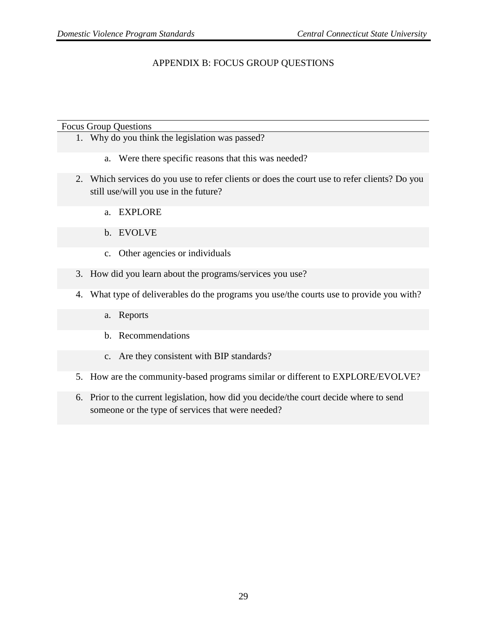## APPENDIX B: FOCUS GROUP QUESTIONS

#### Focus Group Questions

- 1. Why do you think the legislation was passed?
	- a. Were there specific reasons that this was needed?
- 2. Which services do you use to refer clients or does the court use to refer clients? Do you still use/will you use in the future?
	- a. EXPLORE
	- b. EVOLVE
	- c. Other agencies or individuals
- 3. How did you learn about the programs/services you use?
- 4. What type of deliverables do the programs you use/the courts use to provide you with?
	- a. Reports
	- b. Recommendations
	- c. Are they consistent with BIP standards?
- 5. How are the community-based programs similar or different to EXPLORE/EVOLVE?
- 6. Prior to the current legislation, how did you decide/the court decide where to send someone or the type of services that were needed?